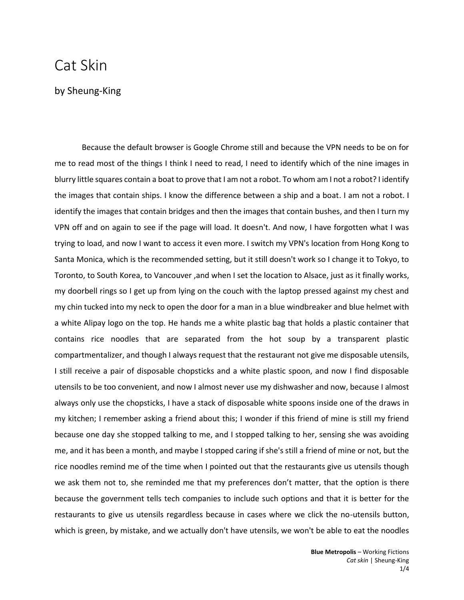## Cat Skin

## by Sheung-King

Because the default browser is Google Chrome still and because the VPN needs to be on for me to read most of the things I think I need to read, I need to identify which of the nine images in blurry little squares contain a boat to prove that I am not a robot. To whom am I not a robot? I identify the images that contain ships. I know the difference between a ship and a boat. I am not a robot. I identify the images that contain bridges and then the images that contain bushes, and then I turn my VPN off and on again to see if the page will load. It doesn't. And now, I have forgotten what I was trying to load, and now I want to access it even more. I switch my VPN's location from Hong Kong to Santa Monica, which is the recommended setting, but it still doesn't work so I change it to Tokyo, to Toronto, to South Korea, to Vancouver ,and when I set the location to Alsace, just as it finally works, my doorbell rings so I get up from lying on the couch with the laptop pressed against my chest and my chin tucked into my neck to open the door for a man in a blue windbreaker and blue helmet with a white Alipay logo on the top. He hands me a white plastic bag that holds a plastic container that contains rice noodles that are separated from the hot soup by a transparent plastic compartmentalizer, and though I always request that the restaurant not give me disposable utensils, I still receive a pair of disposable chopsticks and a white plastic spoon, and now I find disposable utensils to be too convenient, and now I almost never use my dishwasher and now, because I almost always only use the chopsticks, I have a stack of disposable white spoons inside one of the draws in my kitchen; I remember asking a friend about this; I wonder if this friend of mine is still my friend because one day she stopped talking to me, and I stopped talking to her, sensing she was avoiding me, and it has been a month, and maybe I stopped caring if she's still a friend of mine or not, but the rice noodles remind me of the time when I pointed out that the restaurants give us utensils though we ask them not to, she reminded me that my preferences don't matter, that the option is there because the government tells tech companies to include such options and that it is better for the restaurants to give us utensils regardless because in cases where we click the no-utensils button, which is green, by mistake, and we actually don't have utensils, we won't be able to eat the noodles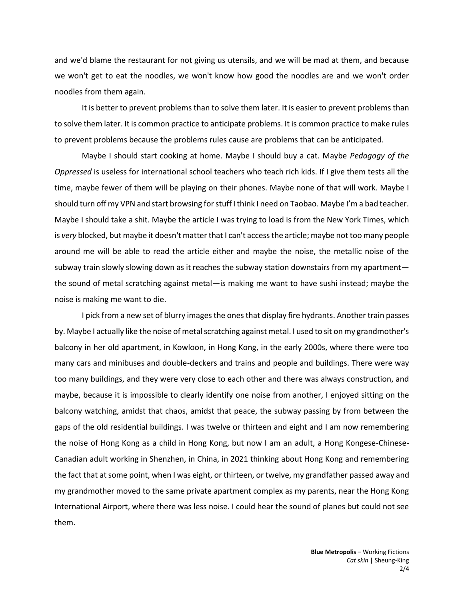and we'd blame the restaurant for not giving us utensils, and we will be mad at them, and because we won't get to eat the noodles, we won't know how good the noodles are and we won't order noodles from them again.

It is better to prevent problems than to solve them later. It is easier to prevent problems than to solve them later. It is common practice to anticipate problems. It is common practice to make rules to prevent problems because the problems rules cause are problems that can be anticipated.

Maybe I should start cooking at home. Maybe I should buy a cat. Maybe *Pedagogy of the Oppressed* is useless for international school teachers who teach rich kids. If I give them tests all the time, maybe fewer of them will be playing on their phones. Maybe none of that will work. Maybe I should turn off my VPN and start browsing for stuff I think I need on Taobao. Maybe I'm a bad teacher. Maybe I should take a shit. Maybe the article I was trying to load is from the New York Times, which is *very* blocked, but maybe it doesn't matter that I can't access the article; maybe not too many people around me will be able to read the article either and maybe the noise, the metallic noise of the subway train slowly slowing down as it reaches the subway station downstairs from my apartment the sound of metal scratching against metal—is making me want to have sushi instead; maybe the noise is making me want to die.

 I pick from a new set of blurry images the ones that display fire hydrants. Another train passes by. Maybe I actually like the noise of metal scratching against metal. I used to sit on my grandmother's balcony in her old apartment, in Kowloon, in Hong Kong, in the early 2000s, where there were too many cars and minibuses and double-deckers and trains and people and buildings. There were way too many buildings, and they were very close to each other and there was always construction, and maybe, because it is impossible to clearly identify one noise from another, I enjoyed sitting on the balcony watching, amidst that chaos, amidst that peace, the subway passing by from between the gaps of the old residential buildings. I was twelve or thirteen and eight and I am now remembering the noise of Hong Kong as a child in Hong Kong, but now I am an adult, a Hong Kongese-Chinese-Canadian adult working in Shenzhen, in China, in 2021 thinking about Hong Kong and remembering the fact that at some point, when I was eight, or thirteen, or twelve, my grandfather passed away and my grandmother moved to the same private apartment complex as my parents, near the Hong Kong International Airport, where there was less noise. I could hear the sound of planes but could not see them.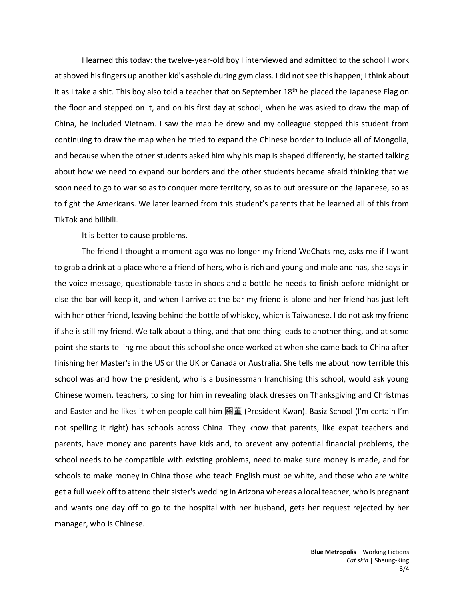I learned this today: the twelve-year-old boy I interviewed and admitted to the school I work at shoved his fingers up another kid's asshole during gym class. I did not see this happen; I think about it as I take a shit. This boy also told a teacher that on September 18<sup>th</sup> he placed the Japanese Flag on the floor and stepped on it, and on his first day at school, when he was asked to draw the map of China, he included Vietnam. I saw the map he drew and my colleague stopped this student from continuing to draw the map when he tried to expand the Chinese border to include all of Mongolia, and because when the other students asked him why his map is shaped differently, he started talking about how we need to expand our borders and the other students became afraid thinking that we soon need to go to war so as to conquer more territory, so as to put pressure on the Japanese, so as to fight the Americans. We later learned from this student's parents that he learned all of this from TikTok and bilibili.

It is better to cause problems.

 The friend I thought a moment ago was no longer my friend WeChats me, asks me if I want to grab a drink at a place where a friend of hers, who is rich and young and male and has, she says in the voice message, questionable taste in shoes and a bottle he needs to finish before midnight or else the bar will keep it, and when I arrive at the bar my friend is alone and her friend has just left with her other friend, leaving behind the bottle of whiskey, which is Taiwanese. I do not ask my friend if she is still my friend. We talk about a thing, and that one thing leads to another thing, and at some point she starts telling me about this school she once worked at when she came back to China after finishing her Master's in the US or the UK or Canada or Australia. She tells me about how terrible this school was and how the president, who is a businessman franchising this school, would ask young Chinese women, teachers, to sing for him in revealing black dresses on Thanksgiving and Christmas and Easter and he likes it when people call him 關董 (President Kwan). Basiz School (I'm certain I'm not spelling it right) has schools across China. They know that parents, like expat teachers and parents, have money and parents have kids and, to prevent any potential financial problems, the school needs to be compatible with existing problems, need to make sure money is made, and for schools to make money in China those who teach English must be white, and those who are white get a full week off to attend their sister's wedding in Arizona whereas a local teacher, who is pregnant and wants one day off to go to the hospital with her husband, gets her request rejected by her manager, who is Chinese.